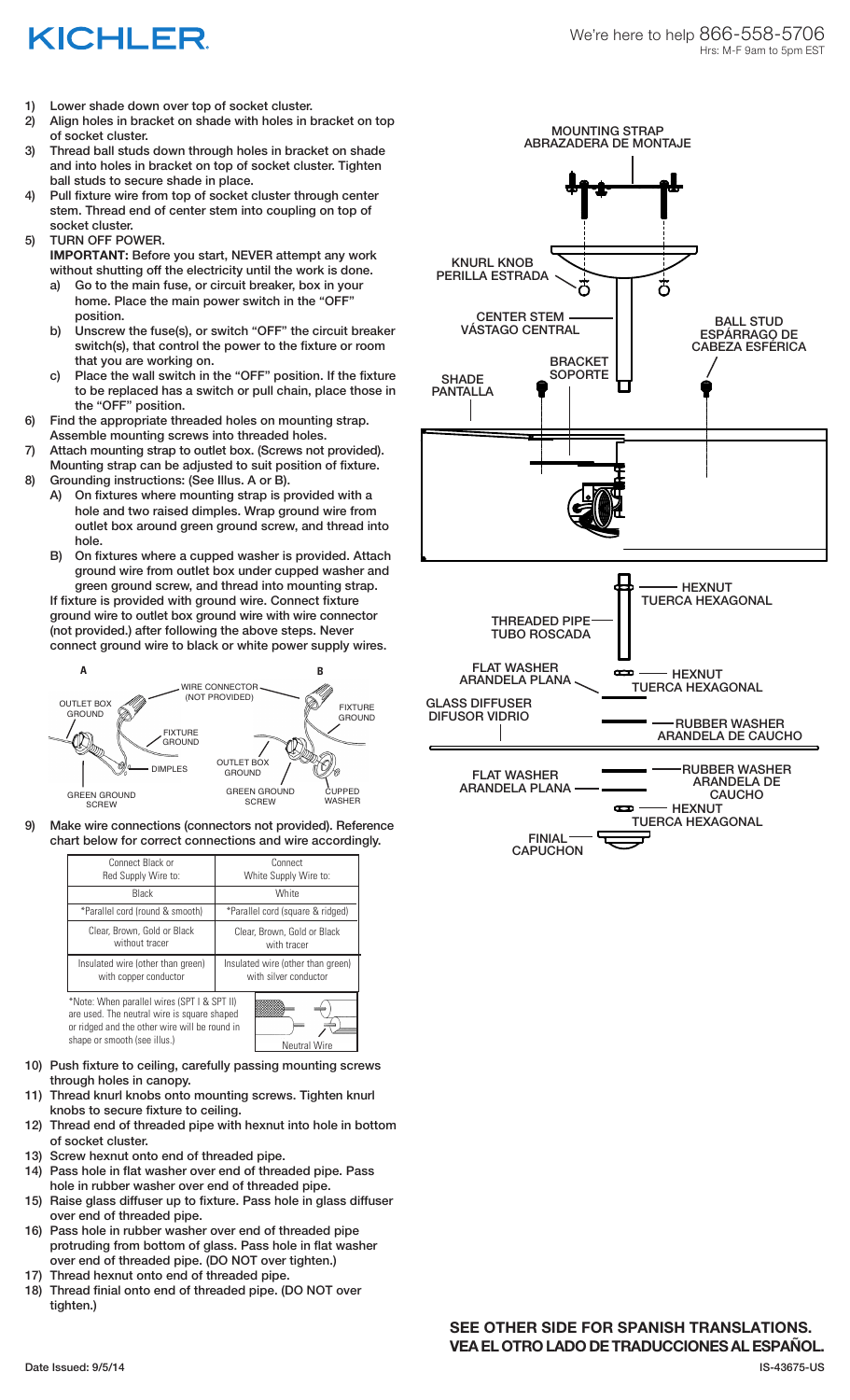## KICHLER

- 1) Lower shade down over top of socket cluster.
- 2) Align holes in bracket on shade with holes in bracket on top of socket cluster.
- 3) Thread ball studs down through holes in bracket on shade and into holes in bracket on top of socket cluster. Tighten ball studs to secure shade in place.
- 4) Pull fixture wire from top of socket cluster through center stem. Thread end of center stem into coupling on top of socket cluster.
- 5) TURN OFF POWER.
	- **IMPORTANT:** Before you start, NEVER attempt any work without shutting off the electricity until the work is done.
	- a) Go to the main fuse, or circuit breaker, box in your home. Place the main power switch in the "OFF" position.
	- b) Unscrew the fuse(s), or switch "OFF" the circuit breaker switch(s), that control the power to the fixture or room that you are working on.
	- c) Place the wall switch in the "OFF" position. If the fixture to be replaced has a switch or pull chain, place those in the "OFF" position.
- 6) Find the appropriate threaded holes on mounting strap. Assemble mounting screws into threaded holes.
- 7) Attach mounting strap to outlet box. (Screws not provided). Mounting strap can be adjusted to suit position of fixture.
- 8) Grounding instructions: (See Illus. A or B).
	- A) On fixtures where mounting strap is provided with a hole and two raised dimples. Wrap ground wire from outlet box around green ground screw, and thread into hole.
	- B) On fixtures where a cupped washer is provided. Attach ground wire from outlet box under cupped washer and green ground screw, and thread into mounting strap.

If fixture is provided with ground wire. Connect fixture ground wire to outlet box ground wire with wire connector (not provided.) after following the above steps. Never connect ground wire to black or white power supply wires.



9) Make wire connections (connectors not provided). Reference chart below for correct connections and wire accordingly.

| Connect Black or<br>Red Supply Wire to:                                                                                                                                                            | Connect<br>White Supply Wire to:                           |
|----------------------------------------------------------------------------------------------------------------------------------------------------------------------------------------------------|------------------------------------------------------------|
| Black                                                                                                                                                                                              | White                                                      |
| *Parallel cord (round & smooth)                                                                                                                                                                    | *Parallel cord (square & ridged)                           |
| Clear, Brown, Gold or Black<br>without tracer                                                                                                                                                      | Clear, Brown, Gold or Black<br>with tracer                 |
| Insulated wire (other than green)<br>with copper conductor                                                                                                                                         | Insulated wire (other than green)<br>with silver conductor |
| *Note: When parallel wires (SPT I & SPT II)<br>are used. The neutral wire is square shaped<br>or ridged and the other wire will be round in<br>shape or smooth (see illus.)<br><b>Neutral Wire</b> |                                                            |

- 10) Push fixture to ceiling, carefully passing mounting screws through holes in canopy.
- Thread knurl knobs onto mounting screws. Tighten knurl knobs to secure fixture to ceiling.
- 12) Thread end of threaded pipe with hexnut into hole in bottom of socket cluster.
- 13) Screw hexnut onto end of threaded pipe.
- 14) Pass hole in flat washer over end of threaded pipe. Pass hole in rubber washer over end of threaded pipe.
- 15) Raise glass diffuser up to fixture. Pass hole in glass diffuser over end of threaded pipe.
- 16) Pass hole in rubber washer over end of threaded pipe protruding from bottom of glass. Pass hole in flat washer over end of threaded pipe. (DO NOT over tighten.)
- 17) Thread hexnut onto end of threaded pipe.
- 18) Thread finial onto end of threaded pipe. (DO NOT over tighten.)